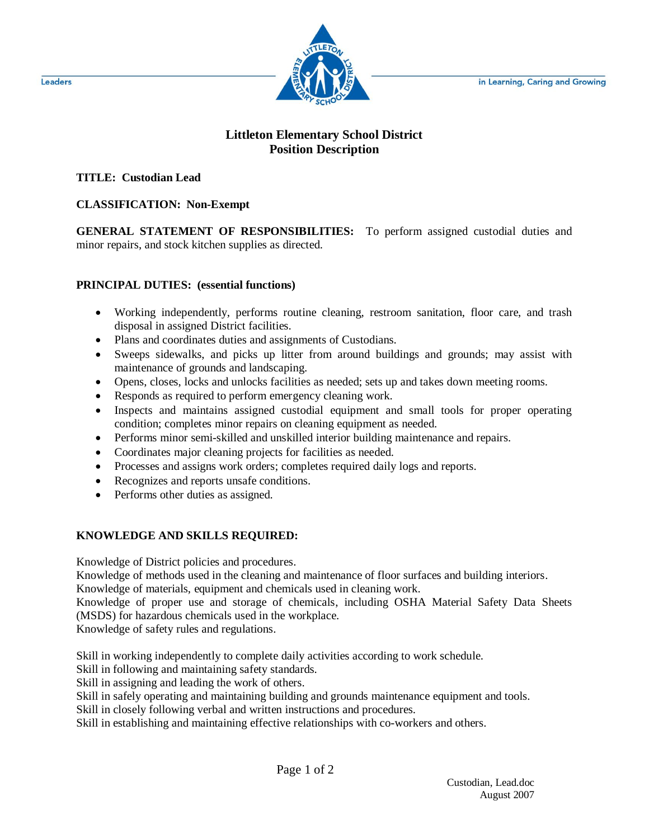in Learning, Caring and Growing



# **Littleton Elementary School District Position Description**

# **TITLE: Custodian Lead**

## **CLASSIFICATION: Non-Exempt**

**GENERAL STATEMENT OF RESPONSIBILITIES:** To perform assigned custodial duties and minor repairs, and stock kitchen supplies as directed.

#### **PRINCIPAL DUTIES: (essential functions)**

- Working independently, performs routine cleaning, restroom sanitation, floor care, and trash disposal in assigned District facilities.
- Plans and coordinates duties and assignments of Custodians.
- Sweeps sidewalks, and picks up litter from around buildings and grounds; may assist with maintenance of grounds and landscaping.
- Opens, closes, locks and unlocks facilities as needed; sets up and takes down meeting rooms.
- Responds as required to perform emergency cleaning work.
- Inspects and maintains assigned custodial equipment and small tools for proper operating condition; completes minor repairs on cleaning equipment as needed.
- Performs minor semi-skilled and unskilled interior building maintenance and repairs.
- Coordinates major cleaning projects for facilities as needed.
- Processes and assigns work orders; completes required daily logs and reports.
- Recognizes and reports unsafe conditions.
- Performs other duties as assigned.

# **KNOWLEDGE AND SKILLS REQUIRED:**

Knowledge of District policies and procedures.

Knowledge of methods used in the cleaning and maintenance of floor surfaces and building interiors.

Knowledge of materials, equipment and chemicals used in cleaning work.

Knowledge of proper use and storage of chemicals, including OSHA Material Safety Data Sheets (MSDS) for hazardous chemicals used in the workplace.

Knowledge of safety rules and regulations.

Skill in working independently to complete daily activities according to work schedule.

Skill in following and maintaining safety standards.

Skill in assigning and leading the work of others.

Skill in safely operating and maintaining building and grounds maintenance equipment and tools.

Skill in closely following verbal and written instructions and procedures.

Skill in establishing and maintaining effective relationships with co-workers and others.